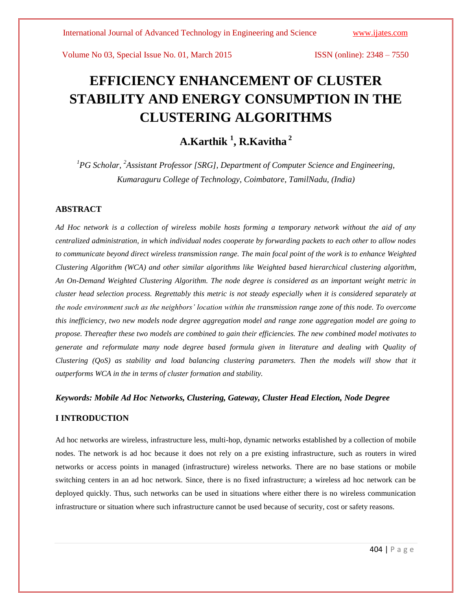# **EFFICIENCY ENHANCEMENT OF CLUSTER STABILITY AND ENERGY CONSUMPTION IN THE CLUSTERING ALGORITHMS**

## **A.Karthik <sup>1</sup> , R.Kavitha <sup>2</sup>**

*<sup>1</sup>PG Scholar, <sup>2</sup>Assistant Professor [SRG], Department of Computer Science and Engineering, Kumaraguru College of Technology, Coimbatore, TamilNadu, (India)*

### **ABSTRACT**

*Ad Hoc network is a collection of wireless mobile hosts forming a temporary network without the aid of any centralized administration, in which individual nodes cooperate by forwarding packets to each other to allow nodes to communicate beyond direct wireless transmission range. The main focal point of the work is to enhance Weighted Clustering Algorithm (WCA) and other similar algorithms like Weighted based hierarchical clustering algorithm, An On-Demand Weighted Clustering Algorithm. The node degree is considered as an important weight metric in cluster head selection process. Regrettably this metric is not steady especially when it is considered separately at the node environment such as the neighbors' location within the transmission range zone of this node. To overcome this inefficiency, two new models node degree aggregation model and range zone aggregation model are going to propose. Thereafter these two models are combined to gain their efficiencies. The new combined model motivates to generate and reformulate many node degree based formula given in literature and dealing with Quality of Clustering (QoS) as stability and load balancing clustering parameters. Then the models will show that it outperforms WCA in the in terms of cluster formation and stability.*

#### *Keywords: Mobile Ad Hoc Networks, Clustering, Gateway, Cluster Head Election, Node Degree*

#### **I INTRODUCTION**

Ad hoc networks are wireless, infrastructure less, multi-hop, dynamic networks established by a collection of mobile nodes. The network is [ad hoc](http://en.wikipedia.org/wiki/Ad_hoc) because it does not rely on a pre existing infrastructure, such as [routers](http://en.wikipedia.org/wiki/Router_%28computing%29) in wired networks or [access points](http://en.wikipedia.org/wiki/Wireless_access_point) in managed (infrastructure) wireless networks. There are no base stations or mobile switching centers in an ad hoc network. Since, there is no fixed infrastructure; a wireless ad hoc network can be deployed quickly. Thus, such networks can be used in situations where either there is no wireless communication infrastructure or situation where such infrastructure cannot be used because of security, cost or safety reasons.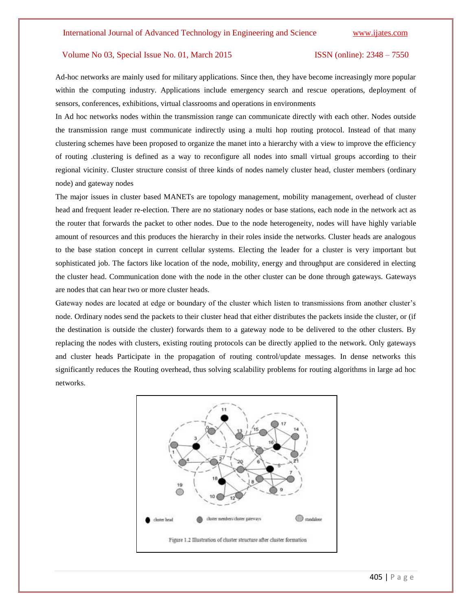Ad-hoc networks are mainly used for military applications. Since then, they have become increasingly more popular within the computing industry. Applications include emergency search and rescue operations, deployment of sensors, conferences, exhibitions, virtual classrooms and operations in environments

In Ad hoc networks nodes within the transmission range can communicate directly with each other. Nodes outside the transmission range must communicate indirectly using a multi hop routing protocol. Instead of that many clustering schemes have been proposed to organize the manet into a hierarchy with a view to improve the efficiency of routing .clustering is defined as a way to reconfigure all nodes into small virtual groups according to their regional vicinity. Cluster structure consist of three kinds of nodes namely cluster head, cluster members (ordinary node) and gateway nodes

The major issues in cluster based MANETs are topology management, mobility management, overhead of cluster head and frequent leader re-election. There are no stationary nodes or base stations, each node in the network act as the router that forwards the packet to other nodes. Due to the node heterogeneity, nodes will have highly variable amount of resources and this produces the hierarchy in their roles inside the networks. Cluster heads are analogous to the base station concept in current cellular systems. Electing the leader for a cluster is very important but sophisticated job. The factors like location of the node, mobility, energy and throughput are considered in electing the cluster head. Communication done with the node in the other cluster can be done through gateways. Gateways are nodes that can hear two or more cluster heads.

Gateway nodes are located at edge or boundary of the cluster which listen to transmissions from another cluster's node. Ordinary nodes send the packets to their cluster head that either distributes the packets inside the cluster, or (if the destination is outside the cluster) forwards them to a gateway node to be delivered to the other clusters. By replacing the nodes with clusters, existing routing protocols can be directly applied to the network. Only gateways and cluster heads Participate in the propagation of routing control/update messages. In dense networks this significantly reduces the Routing overhead, thus solving scalability problems for routing algorithms in large ad hoc networks.

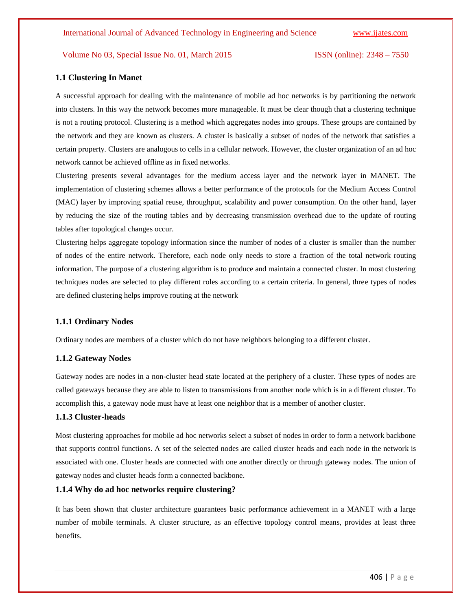#### **1.1 Clustering In Manet**

A successful approach for dealing with the maintenance of mobile ad hoc networks is by partitioning the network into clusters. In this way the network becomes more manageable. It must be clear though that a clustering technique is not a routing protocol. Clustering is a method which aggregates nodes into groups. These groups are contained by the network and they are known as clusters. A cluster is basically a subset of nodes of the network that satisfies a certain property. Clusters are analogous to cells in a cellular network. However, the cluster organization of an ad hoc network cannot be achieved offline as in fixed networks.

Clustering presents several advantages for the medium access layer and the network layer in MANET. The implementation of clustering schemes allows a better performance of the protocols for the Medium Access Control (MAC) layer by improving spatial reuse, throughput, scalability and power consumption. On the other hand, layer by reducing the size of the routing tables and by decreasing transmission overhead due to the update of routing tables after topological changes occur.

Clustering helps aggregate topology information since the number of nodes of a cluster is smaller than the number of nodes of the entire network. Therefore, each node only needs to store a fraction of the total network routing information. The purpose of a clustering algorithm is to produce and maintain a connected cluster. In most clustering techniques nodes are selected to play different roles according to a certain criteria. In general, three types of nodes are defined clustering helps improve routing at the network

#### **1.1.1 Ordinary Nodes**

Ordinary nodes are members of a cluster which do not have neighbors belonging to a different cluster.

#### **1.1.2 Gateway Nodes**

Gateway nodes are nodes in a non-cluster head state located at the periphery of a cluster. These types of nodes are called gateways because they are able to listen to transmissions from another node which is in a different cluster. To accomplish this, a gateway node must have at least one neighbor that is a member of another cluster.

#### **1.1.3 Cluster-heads**

Most clustering approaches for mobile ad hoc networks select a subset of nodes in order to form a network backbone that supports control functions. A set of the selected nodes are called cluster heads and each node in the network is associated with one. Cluster heads are connected with one another directly or through gateway nodes. The union of gateway nodes and cluster heads form a connected backbone.

### **1.1.4 Why do ad hoc networks require clustering?**

It has been shown that cluster architecture guarantees basic performance achievement in a MANET with a large number of mobile terminals. A cluster structure, as an effective topology control means, provides at least three benefits.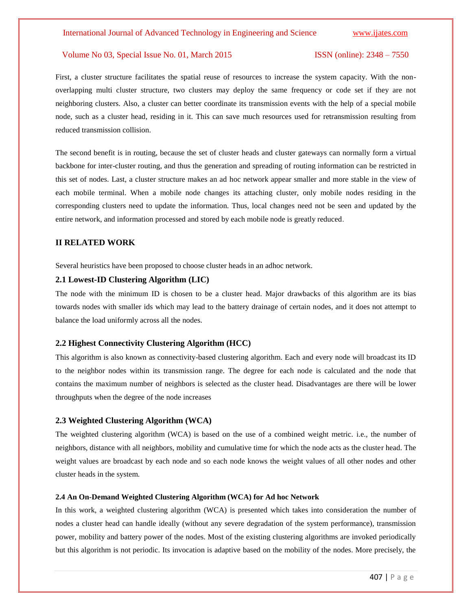First, a cluster structure facilitates the spatial reuse of resources to increase the system capacity. With the nonoverlapping multi cluster structure, two clusters may deploy the same frequency or code set if they are not neighboring clusters. Also, a cluster can better coordinate its transmission events with the help of a special mobile node, such as a cluster head, residing in it. This can save much resources used for retransmission resulting from reduced transmission collision.

The second benefit is in routing, because the set of cluster heads and cluster gateways can normally form a virtual backbone for inter-cluster routing, and thus the generation and spreading of routing information can be restricted in this set of nodes. Last, a cluster structure makes an ad hoc network appear smaller and more stable in the view of each mobile terminal. When a mobile node changes its attaching cluster, only mobile nodes residing in the corresponding clusters need to update the information. Thus, local changes need not be seen and updated by the entire network, and information processed and stored by each mobile node is greatly reduced.

#### **II RELATED WORK**

Several heuristics have been proposed to choose cluster heads in an adhoc network.

### **2.1 Lowest-ID Clustering Algorithm (LIC)**

The node with the minimum ID is chosen to be a cluster head. Major drawbacks of this algorithm are its bias towards nodes with smaller ids which may lead to the battery drainage of certain nodes, and it does not attempt to balance the load uniformly across all the nodes.

#### **2.2 Highest Connectivity Clustering Algorithm (HCC)**

This algorithm is also known as connectivity-based clustering algorithm. Each and every node will broadcast its ID to the neighbor nodes within its transmission range. The degree for each node is calculated and the node that contains the maximum number of neighbors is selected as the cluster head. Disadvantages are there will be lower throughputs when the degree of the node increases

#### **2.3 Weighted Clustering Algorithm (WCA)**

The weighted clustering algorithm (WCA) is based on the use of a combined weight metric. i.e., the number of neighbors, distance with all neighbors, mobility and cumulative time for which the node acts as the cluster head. The weight values are broadcast by each node and so each node knows the weight values of all other nodes and other cluster heads in the system.

#### **2.4 An On-Demand Weighted Clustering Algorithm (WCA) for Ad hoc Network**

In this work, a weighted clustering algorithm (WCA) is presented which takes into consideration the number of nodes a cluster head can handle ideally (without any severe degradation of the system performance), transmission power, mobility and battery power of the nodes. Most of the existing clustering algorithms are invoked periodically but this algorithm is not periodic. Its invocation is adaptive based on the mobility of the nodes. More precisely, the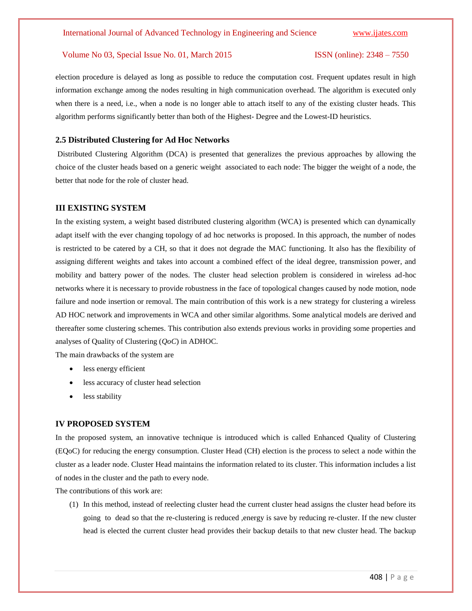election procedure is delayed as long as possible to reduce the computation cost. Frequent updates result in high information exchange among the nodes resulting in high communication overhead. The algorithm is executed only when there is a need, i.e., when a node is no longer able to attach itself to any of the existing cluster heads. This algorithm performs significantly better than both of the Highest- Degree and the Lowest-ID heuristics.

#### **2.5 Distributed Clustering for Ad Hoc Networks**

Distributed Clustering Algorithm (DCA) is presented that generalizes the previous approaches by allowing the choice of the cluster heads based on a generic weight associated to each node: The bigger the weight of a node, the better that node for the role of cluster head.

#### **III EXISTING SYSTEM**

In the existing system, a weight based distributed clustering algorithm (WCA) is presented which can dynamically adapt itself with the ever changing topology of ad hoc networks is proposed. In this approach, the number of nodes is restricted to be catered by a CH, so that it does not degrade the MAC functioning. It also has the flexibility of assigning different weights and takes into account a combined effect of the ideal degree, transmission power, and mobility and battery power of the nodes. The cluster head selection problem is considered in wireless ad-hoc networks where it is necessary to provide robustness in the face of topological changes caused by node motion, node failure and node insertion or removal. The main contribution of this work is a new strategy for clustering a wireless AD HOC network and improvements in WCA and other similar algorithms. Some analytical models are derived and thereafter some clustering schemes. This contribution also extends previous works in providing some properties and analyses of Quality of Clustering (*QoC*) in ADHOC.

The main drawbacks of the system are

- less energy efficient
- less accuracy of cluster head selection
- less stability

#### **IV PROPOSED SYSTEM**

In the proposed system, an innovative technique is introduced which is called Enhanced Quality of Clustering (EQoC) for reducing the energy consumption. Cluster Head (CH) election is the process to select a node within the cluster as a leader node. Cluster Head maintains the information related to its cluster. This information includes a list of nodes in the cluster and the path to every node.

The contributions of this work are:

(1) In this method, instead of reelecting cluster head the current cluster head assigns the cluster head before its going to dead so that the re-clustering is reduced ,energy is save by reducing re-cluster. If the new cluster head is elected the current cluster head provides their backup details to that new cluster head. The backup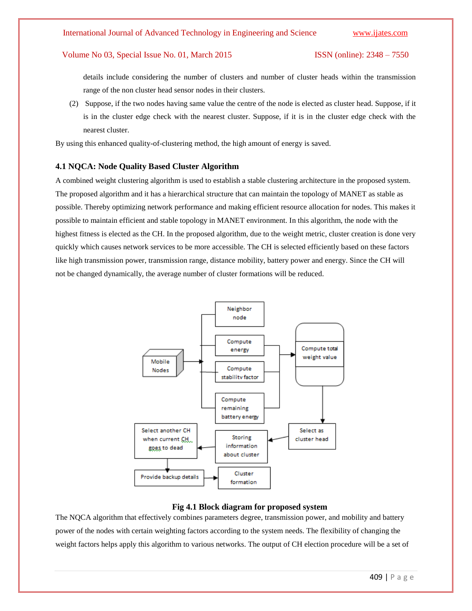details include considering the number of clusters and number of cluster heads within the transmission range of the non cluster head sensor nodes in their clusters.

(2) Suppose, if the two nodes having same value the centre of the node is elected as cluster head. Suppose, if it is in the cluster edge check with the nearest cluster. Suppose, if it is in the cluster edge check with the nearest cluster.

By using this enhanced quality-of-clustering method, the high amount of energy is saved.

#### **4.1 NQCA: Node Quality Based Cluster Algorithm**

A combined weight clustering algorithm is used to establish a stable clustering architecture in the proposed system. The proposed algorithm and it has a hierarchical structure that can maintain the topology of MANET as stable as possible. Thereby optimizing network performance and making efficient resource allocation for nodes. This makes it possible to maintain efficient and stable topology in MANET environment. In this algorithm, the node with the highest fitness is elected as the CH. In the proposed algorithm, due to the weight metric, cluster creation is done very quickly which causes network services to be more accessible. The CH is selected efficiently based on these factors like high transmission power, transmission range, distance mobility, battery power and energy. Since the CH will not be changed dynamically, the average number of cluster formations will be reduced.



#### **Fig 4.1 Block diagram for proposed system**

The NQCA algorithm that effectively combines parameters degree, transmission power, and mobility and battery power of the nodes with certain weighting factors according to the system needs. The flexibility of changing the weight factors helps apply this algorithm to various networks. The output of CH election procedure will be a set of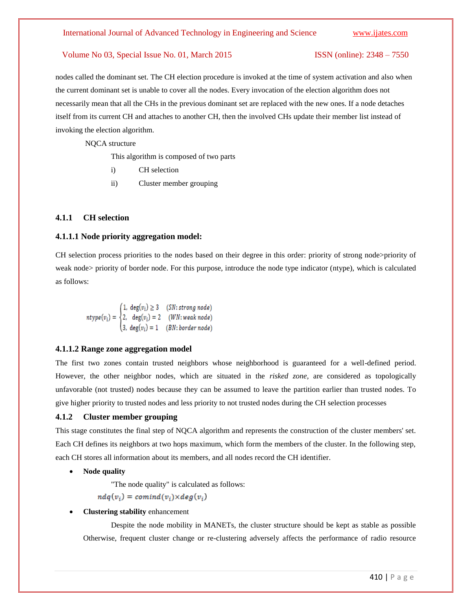nodes called the dominant set. The CH election procedure is invoked at the time of system activation and also when the current dominant set is unable to cover all the nodes. Every invocation of the election algorithm does not necessarily mean that all the CHs in the previous dominant set are replaced with the new ones. If a node detaches itself from its current CH and attaches to another CH, then the involved CHs update their member list instead of invoking the election algorithm.

NQCA structure

This algorithm is composed of two parts

- i) CH selection
- ii) Cluster member grouping

#### **4.1.1 CH selection**

#### **4.1.1.1 Node priority aggregation model:**

CH selection process priorities to the nodes based on their degree in this order: priority of strong node>priority of weak node> priority of border node. For this purpose, introduce the node type indicator (ntype), which is calculated as follows:

$$
ntype(v_i) = \begin{cases} 1, \deg(v_i) \ge 3 & (SN: strong node) \\ 2, \deg(v_i) = 2 & (WN: weak node) \\ 3, \deg(v_i) = 1 & (BN: border node) \end{cases}
$$

#### **4.1.1.2 Range zone aggregation model**

The first two zones contain trusted neighbors whose neighborhood is guaranteed for a well-defined period. However, the other neighbor nodes, which are situated in the *risked zone,* are considered as topologically unfavorable (not trusted) nodes because they can be assumed to leave the partition earlier than trusted nodes. To give higher priority to trusted nodes and less priority to not trusted nodes during the CH selection processes

#### **4.1.2 Cluster member grouping**

This stage constitutes the final step of NQCA algorithm and represents the construction of the cluster members' set. Each CH defines its neighbors at two hops maximum, which form the members of the cluster. In the following step, each CH stores all information about its members, and all nodes record the CH identifier.

**Node quality**

"The node quality" is calculated as follows:

 $ndq(v_i) = comind(v_i) \times deg(v_i)$ 

**Clustering stability** enhancement

Despite the node mobility in MANETs, the cluster structure should be kept as stable as possible Otherwise, frequent cluster change or re-clustering adversely affects the performance of radio resource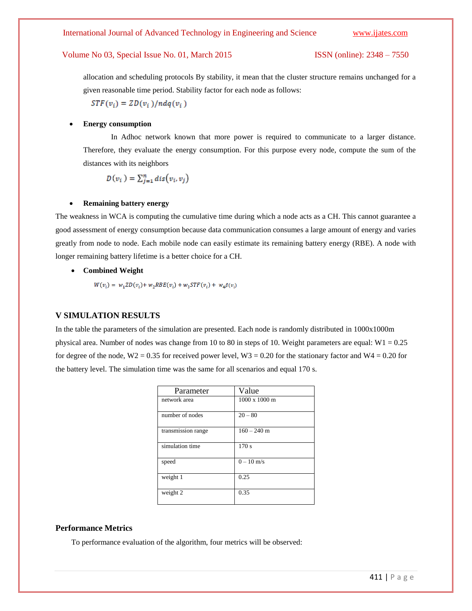allocation and scheduling protocols By stability, it mean that the cluster structure remains unchanged for a given reasonable time period. Stability factor for each node as follows:

 $STF(v_i) = ZD(v_i)/ndq(v_i)$ 

#### **Energy consumption**

In Adhoc network known that more power is required to communicate to a larger distance. Therefore, they evaluate the energy consumption. For this purpose every node, compute the sum of the distances with its neighbors

$$
D(v_i) = \sum_{i=1}^n dis(v_i, v_i)
$$

#### **Remaining battery energy**

The weakness in WCA is computing the cumulative time during which a node acts as a CH. This cannot guarantee a good assessment of energy consumption because data communication consumes a large amount of energy and varies greatly from node to node. Each mobile node can easily estimate its remaining battery energy (RBE). A node with longer remaining battery lifetime is a better choice for a CH.

**Combined Weight**

 $W(v_i) = w_1 Z D(v_i) + w_2 R B E(v_i) + w_3 S T F(v_i) + w_4 \beta(v_i)$ 

#### **V SIMULATION RESULTS**

In the table the parameters of the simulation are presented. Each node is randomly distributed in 1000x1000m physical area. Number of nodes was change from 10 to 80 in steps of 10. Weight parameters are equal:  $W1 = 0.25$ for degree of the node,  $W2 = 0.35$  for received power level,  $W3 = 0.20$  for the stationary factor and  $W4 = 0.20$  for the battery level. The simulation time was the same for all scenarios and equal 170 s.

| Parameter          | Value                |
|--------------------|----------------------|
| network area       | $1000 \times 1000$ m |
| number of nodes    | $20 - 80$            |
| transmission range | $160 - 240$ m        |
| simulation time    | 170s                 |
| speed              | $0 - 10$ m/s         |
| weight 1           | 0.25                 |
| weight 2           | 0.35                 |

#### **Performance Metrics**

To performance evaluation of the algorithm, four metrics will be observed: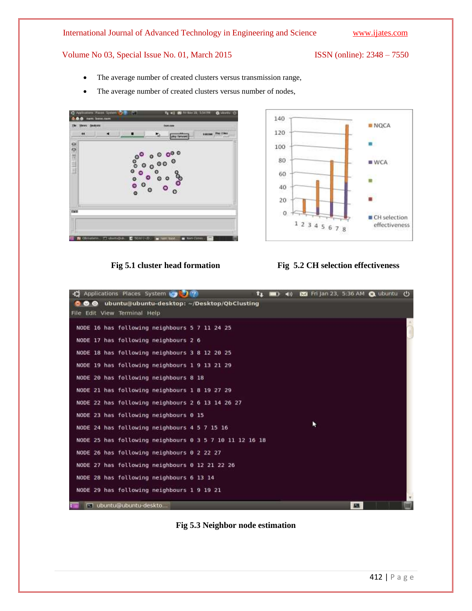- The average number of created clusters versus transmission range,
- The average number of created clusters versus number of nodes,









**Fig 5.3 Neighbor node estimation**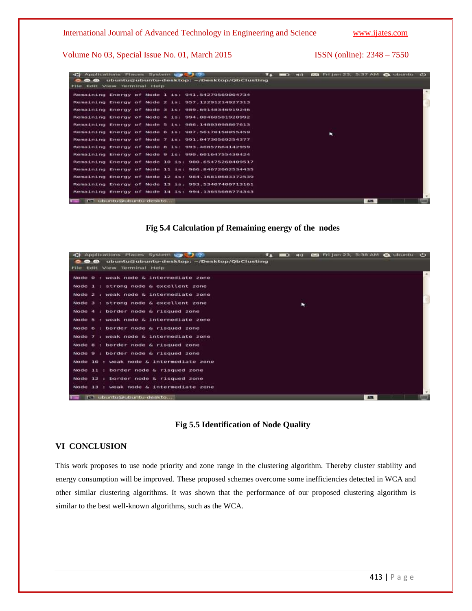|                                                    | Applications Places System to 7100          |  |  |  |  | L۳ | டன<br><b>The William</b> |   |               | 85 Frijan 23, 5:37 AM @ ubuntu () |  |
|----------------------------------------------------|---------------------------------------------|--|--|--|--|----|--------------------------|---|---------------|-----------------------------------|--|
| $\bullet$ $\bullet$                                | ubuntu@ubuntu-desktop: -/Desktop/QbClusting |  |  |  |  |    |                          |   |               |                                   |  |
| File Edit View Terminal Help                       |                                             |  |  |  |  |    |                          |   |               |                                   |  |
| Remaining Energy of Node 1 is: 941.54279569004734  |                                             |  |  |  |  |    |                          |   |               |                                   |  |
| Remaining Energy of Node 2 is: 057.12201214027313  |                                             |  |  |  |  |    |                          |   |               |                                   |  |
| Remaining Energy of Node 3 is: 989.69148346919246  |                                             |  |  |  |  |    |                          |   |               |                                   |  |
| Remaining Energy of Node 4 is: 994.88468501928992  |                                             |  |  |  |  |    |                          |   |               |                                   |  |
| Remaining Energy of Node 5 is: 986.14803098807613  |                                             |  |  |  |  |    |                          |   |               |                                   |  |
| Remaining Energy of Node 6 is: 987.56170150055459  |                                             |  |  |  |  |    |                          | ÷ |               |                                   |  |
| Remaining Energy of Node 7 is: 991.04730569254377  |                                             |  |  |  |  |    |                          |   |               |                                   |  |
| Remaining Energy of Node 8 is: 993.40857664142959  |                                             |  |  |  |  |    |                          |   |               |                                   |  |
| Remaining Energy of Node 9 is: 990.60164755430424  |                                             |  |  |  |  |    |                          |   |               |                                   |  |
| Remaining Energy of Node 10 is: 980.65475260409517 |                                             |  |  |  |  |    |                          |   |               |                                   |  |
| Remaining Energy of Node 11 is: 966.84672062534435 |                                             |  |  |  |  |    |                          |   |               |                                   |  |
| Remaining Energy of Node 12 is: 054.16510603372539 |                                             |  |  |  |  |    |                          |   |               |                                   |  |
| Remaining Energy of Node 13 is: 993.53407400713161 |                                             |  |  |  |  |    |                          |   |               |                                   |  |
| Remaining Energy of Node 14 1s: 994.13655608774343 |                                             |  |  |  |  |    |                          |   |               |                                   |  |
|                                                    | FT ubuntu@ubuntu-deskto                     |  |  |  |  |    |                          |   | <b>Burnet</b> |                                   |  |

### **Fig 5.4 Calculation pf Remaining energy of the nodes**

|            |             | Applications Places System to               |  |  |  |  |  | LΠ | EDI | <b>Section</b> |  |              | Fri jan 23, 5:38 AM @ ubuntu C) |  |
|------------|-------------|---------------------------------------------|--|--|--|--|--|----|-----|----------------|--|--------------|---------------------------------|--|
|            | <b>CED</b>  | ubuntu@ubuntu-desktop: -/Desktop/QbClusting |  |  |  |  |  |    |     |                |  |              |                                 |  |
|            |             | File Edit View Terminal Help                |  |  |  |  |  |    |     |                |  |              |                                 |  |
|            |             | Node 0 : weak node & intermediate zone      |  |  |  |  |  |    |     |                |  |              |                                 |  |
| Node $1 +$ |             | strong node & excellent zone                |  |  |  |  |  |    |     |                |  |              |                                 |  |
|            |             | Node 2 : weak node & intermediate zone      |  |  |  |  |  |    |     |                |  |              |                                 |  |
| Node 3 :   |             | strong node & excellent zone                |  |  |  |  |  |    | ۰   |                |  |              |                                 |  |
|            |             | Node 4 : border node & risqued zone         |  |  |  |  |  |    |     |                |  |              |                                 |  |
|            |             | Node 5 : weak node & intermediate zone      |  |  |  |  |  |    |     |                |  |              |                                 |  |
|            |             | Node 6 : border node & risqued zone         |  |  |  |  |  |    |     |                |  |              |                                 |  |
|            |             | Node 7 : weak node & intermediate zone      |  |  |  |  |  |    |     |                |  |              |                                 |  |
|            |             | Node B : border node & risqued zone         |  |  |  |  |  |    |     |                |  |              |                                 |  |
|            |             | Node 9 : border node & risqued zone         |  |  |  |  |  |    |     |                |  |              |                                 |  |
|            |             | Node 10 : weak node & intermediate zone     |  |  |  |  |  |    |     |                |  |              |                                 |  |
|            |             | Node 11 : border node & risqued zone        |  |  |  |  |  |    |     |                |  |              |                                 |  |
|            |             | Node 12 : border node & risqued zone        |  |  |  |  |  |    |     |                |  |              |                                 |  |
|            |             | Node 13 : weak node & intermediate zone     |  |  |  |  |  |    |     |                |  |              |                                 |  |
|            | <b>Ford</b> | ubuntu@ubuntu-deskto                        |  |  |  |  |  |    |     |                |  | <b>STATE</b> |                                 |  |

### **Fig 5.5 Identification of Node Quality**

### **VI CONCLUSION**

This work proposes to use node priority and zone range in the clustering algorithm. Thereby cluster stability and energy consumption will be improved. These proposed schemes overcome some inefficiencies detected in WCA and other similar clustering algorithms. It was shown that the performance of our proposed clustering algorithm is similar to the best well-known algorithms, such as the WCA.